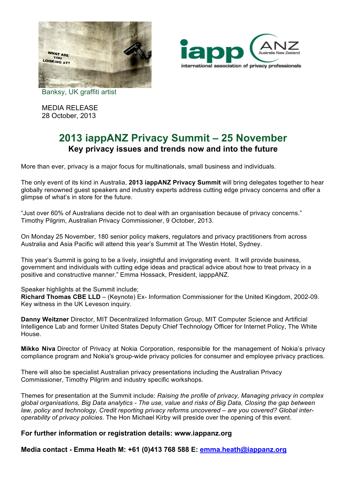



Banksy, UK graffiti artist

MEDIA RELEASE 28 October, 2013

## **2013 iappANZ Privacy Summit – 25 November Key privacy issues and trends now and into the future**

More than ever, privacy is a major focus for multinationals, small business and individuals.

The only event of its kind in Australia, **2013 iappANZ Privacy Summit** will bring delegates together to hear globally renowned guest speakers and industry experts address cutting edge privacy concerns and offer a glimpse of what's in store for the future.

"Just over 60% of Australians decide not to deal with an organisation because of privacy concerns." Timothy Pilgrim, Australian Privacy Commissioner, 9 October, 2013.

On Monday 25 November, 180 senior policy makers, regulators and privacy practitioners from across Australia and Asia Pacific will attend this year's Summit at The Westin Hotel, Sydney.

This year's Summit is going to be a lively, insightful and invigorating event. It will provide business, government and individuals with cutting edge ideas and practical advice about how to treat privacy in a positive and constructive manner." Emma Hossack, President, iapppANZ.

Speaker highlights at the Summit include;

**Richard Thomas CBE LLD** – (Keynote) Ex- Information Commissioner for the United Kingdom, 2002-09. Key witness in the UK Leveson inquiry.

**Danny Weitzner** Director, MIT Decentralized Information Group, MIT Computer Science and Artificial Intelligence Lab and former United States Deputy Chief Technology Officer for Internet Policy, The White House.

**Mikko Niva** Director of Privacy at Nokia Corporation, responsible for the management of Nokia's privacy compliance program and Nokia's group-wide privacy policies for consumer and employee privacy practices.

There will also be specialist Australian privacy presentations including the Australian Privacy Commissioner, Timothy Pilgrim and industry specific workshops.

Themes for presentation at the Summit include: *Raising the profile of privacy, Managing privacy in complex global organisations, Big Data analytics - The use, value and risks of Big Data, Closing the gap between law, policy and technology, Credit reporting privacy reforms uncovered – are you covered? Global interoperability of privacy policies.* The Hon Michael Kirby will preside over the opening of this event.

## **For further information or registration details: www.iappanz.org**

**Media contact - Emma Heath M: +61 (0)413 768 588 E: emma.heath@iappanz.org**